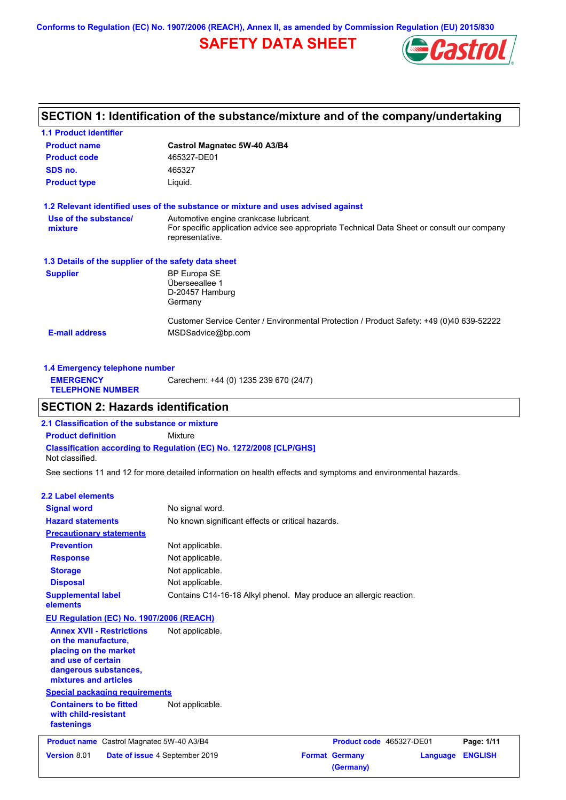**Conforms to Regulation (EC) No. 1907/2006 (REACH), Annex II, as amended by Commission Regulation (EU) 2015/830**

## **SAFETY DATA SHEET**



### **SECTION 1: Identification of the substance/mixture and of the company/undertaking**

| <b>1.1 Product identifier</b>                        |                                                                                                                                                          |
|------------------------------------------------------|----------------------------------------------------------------------------------------------------------------------------------------------------------|
| <b>Product name</b>                                  | Castrol Magnatec 5W-40 A3/B4                                                                                                                             |
| <b>Product code</b>                                  | 465327-DE01                                                                                                                                              |
| SDS no.                                              | 465327                                                                                                                                                   |
| <b>Product type</b>                                  | Liquid.                                                                                                                                                  |
|                                                      | 1.2 Relevant identified uses of the substance or mixture and uses advised against                                                                        |
| Use of the substance/<br>mixture                     | Automotive engine crankcase lubricant.<br>For specific application advice see appropriate Technical Data Sheet or consult our company<br>representative. |
| 1.3 Details of the supplier of the safety data sheet |                                                                                                                                                          |
| <b>Supplier</b>                                      | <b>BP Europa SE</b><br>Überseeallee 1<br>D-20457 Hamburg<br>Germany                                                                                      |
| <b>E-mail address</b>                                | Customer Service Center / Environmental Protection / Product Safety: +49 (0)40 639-52222<br>MSDSadvice@bp.com                                            |

| 1.4 Emergency telephone number              |                                       |  |  |  |
|---------------------------------------------|---------------------------------------|--|--|--|
| <b>EMERGENCY</b><br><b>TELEPHONE NUMBER</b> | Carechem: +44 (0) 1235 239 670 (24/7) |  |  |  |

### **SECTION 2: Hazards identification**

**Classification according to Regulation (EC) No. 1272/2008 [CLP/GHS] 2.1 Classification of the substance or mixture Product definition** Mixture Not classified.

See sections 11 and 12 for more detailed information on health effects and symptoms and environmental hazards.

#### **2.2 Label elements**

| <b>Signal word</b>                                                                                                                                       | No signal word.                                                    |                                    |                            |
|----------------------------------------------------------------------------------------------------------------------------------------------------------|--------------------------------------------------------------------|------------------------------------|----------------------------|
| <b>Hazard statements</b>                                                                                                                                 | No known significant effects or critical hazards.                  |                                    |                            |
| <b>Precautionary statements</b>                                                                                                                          |                                                                    |                                    |                            |
| <b>Prevention</b>                                                                                                                                        | Not applicable.                                                    |                                    |                            |
| <b>Response</b>                                                                                                                                          | Not applicable.                                                    |                                    |                            |
| <b>Storage</b>                                                                                                                                           | Not applicable.                                                    |                                    |                            |
| <b>Disposal</b>                                                                                                                                          | Not applicable.                                                    |                                    |                            |
| <b>Supplemental label</b><br>elements                                                                                                                    | Contains C14-16-18 Alkyl phenol. May produce an allergic reaction. |                                    |                            |
| EU Regulation (EC) No. 1907/2006 (REACH)                                                                                                                 |                                                                    |                                    |                            |
| <b>Annex XVII - Restrictions</b><br>on the manufacture,<br>placing on the market<br>and use of certain<br>dangerous substances,<br>mixtures and articles | Not applicable.                                                    |                                    |                            |
| <b>Special packaging requirements</b>                                                                                                                    |                                                                    |                                    |                            |
| <b>Containers to be fitted</b><br>with child-resistant<br>fastenings                                                                                     | Not applicable.                                                    |                                    |                            |
| Product name Castrol Magnatec 5W-40 A3/B4                                                                                                                |                                                                    | Product code 465327-DE01           | Page: 1/11                 |
| Version 8.01<br>Date of issue 4 September 2019                                                                                                           |                                                                    | <b>Format Germany</b><br>(Germany) | <b>ENGLISH</b><br>Language |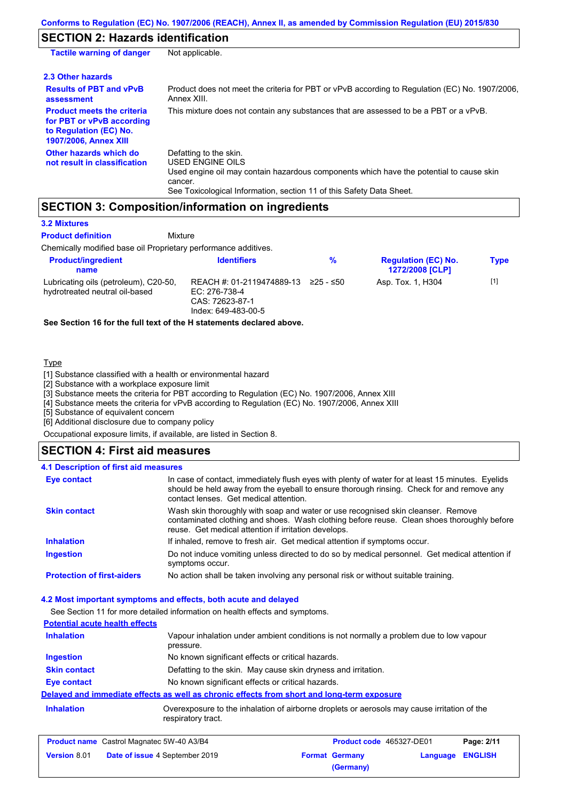### **SECTION 2: Hazards identification**

| <b>Tactile warning of danger</b>                                                                                         | Not applicable.                                                                                                                                                                                                          |
|--------------------------------------------------------------------------------------------------------------------------|--------------------------------------------------------------------------------------------------------------------------------------------------------------------------------------------------------------------------|
| 2.3 Other hazards                                                                                                        |                                                                                                                                                                                                                          |
| <b>Results of PBT and vPvB</b><br>assessment                                                                             | Product does not meet the criteria for PBT or vPvB according to Regulation (EC) No. 1907/2006,<br>Annex XIII.                                                                                                            |
| <b>Product meets the criteria</b><br>for PBT or vPvB according<br>to Regulation (EC) No.<br><b>1907/2006, Annex XIII</b> | This mixture does not contain any substances that are assessed to be a PBT or a vPvB.                                                                                                                                    |
| Other hazards which do<br>not result in classification                                                                   | Defatting to the skin.<br>USED ENGINE OILS<br>Used engine oil may contain hazardous components which have the potential to cause skin<br>cancer.<br>See Toxicological Information, section 11 of this Safety Data Sheet. |

### **SECTION 3: Composition/information on ingredients**

#### **3.2 Mixtures**

**Product definition**

**Mixture** 

Chemically modified base oil Proprietary performance additives.

| <b>Product/ingredient</b><br>name                                       | <b>Identifiers</b>                                                                   | %         | <b>Regulation (EC) No.</b><br><b>1272/2008 [CLP]</b> | <b>Type</b> |
|-------------------------------------------------------------------------|--------------------------------------------------------------------------------------|-----------|------------------------------------------------------|-------------|
| Lubricating oils (petroleum), C20-50,<br>hydrotreated neutral oil-based | REACH #: 01-2119474889-13<br>EC: 276-738-4<br>CAS: 72623-87-1<br>Index: 649-483-00-5 | 225 - ≤50 | Asp. Tox. 1, H304                                    | $[1]$       |

**See Section 16 for the full text of the H statements declared above.**

#### Type

[1] Substance classified with a health or environmental hazard

[2] Substance with a workplace exposure limit

[3] Substance meets the criteria for PBT according to Regulation (EC) No. 1907/2006, Annex XIII

[4] Substance meets the criteria for vPvB according to Regulation (EC) No. 1907/2006, Annex XIII

[5] Substance of equivalent concern

[6] Additional disclosure due to company policy

Occupational exposure limits, if available, are listed in Section 8.

### **SECTION 4: First aid measures**

#### Do not induce vomiting unless directed to do so by medical personnel. Get medical attention if symptoms occur. In case of contact, immediately flush eyes with plenty of water for at least 15 minutes. Eyelids should be held away from the eyeball to ensure thorough rinsing. Check for and remove any contact lenses. Get medical attention. **4.1 Description of first aid measures** If inhaled, remove to fresh air. Get medical attention if symptoms occur. **Ingestion Inhalation Eye contact Protection of first-aiders** No action shall be taken involving any personal risk or without suitable training. **Skin contact** Wash skin thoroughly with soap and water or use recognised skin cleanser. Remove contaminated clothing and shoes. Wash clothing before reuse. Clean shoes thoroughly before reuse. Get medical attention if irritation develops.

### **4.2 Most important symptoms and effects, both acute and delayed**

See Section 11 for more detailed information on health effects and symptoms. **Potential acute health effects Inhalation** Vapour inhalation under ambient conditions is not normally a problem due to low vapour pressure. **Ingestion** No known significant effects or critical hazards. **Skin contact** Defatting to the skin. May cause skin dryness and irritation. **Eye contact** No known significant effects or critical hazards. **Delayed and immediate effects as well as chronic effects from short and long-term exposure Inhalation Inhalation** Overexposure to the inhalation of airborne droplets or aerosols may cause irritation of the respiratory tract.

| <b>Product name</b> Castrol Magnatec 5W-40 A3/B4 |                                       | <b>Product code</b> 465327-DE01 |                       | Page: 2/11              |  |
|--------------------------------------------------|---------------------------------------|---------------------------------|-----------------------|-------------------------|--|
| <b>Version 8.01</b>                              | <b>Date of issue 4 September 2019</b> |                                 | <b>Format Germany</b> | <b>Language ENGLISH</b> |  |
|                                                  |                                       |                                 | (Germany)             |                         |  |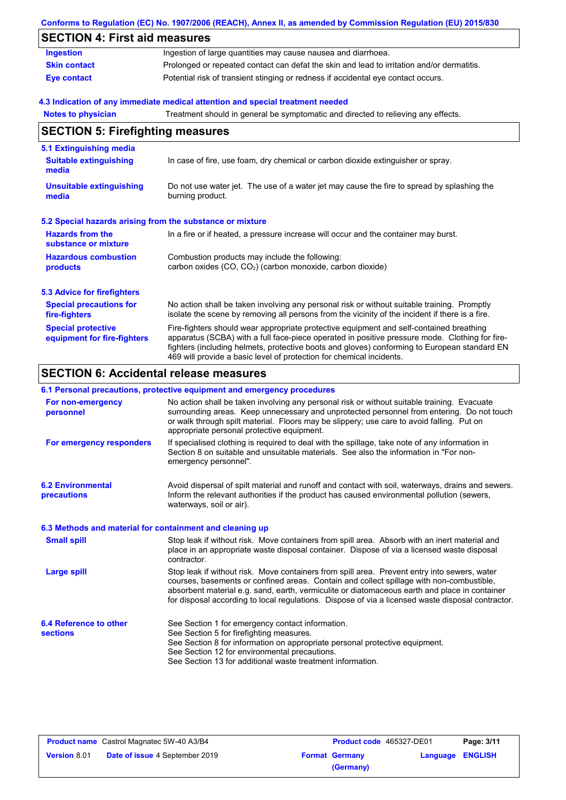|                                                           | Conforms to Regulation (EC) No. 1907/2006 (REACH), Annex II, as amended by Commission Regulation (EU) 2015/830                                                                                                                                                                                                                                                    |
|-----------------------------------------------------------|-------------------------------------------------------------------------------------------------------------------------------------------------------------------------------------------------------------------------------------------------------------------------------------------------------------------------------------------------------------------|
| <b>SECTION 4: First aid measures</b>                      |                                                                                                                                                                                                                                                                                                                                                                   |
| <b>Ingestion</b>                                          | Ingestion of large quantities may cause nausea and diarrhoea.                                                                                                                                                                                                                                                                                                     |
| <b>Skin contact</b>                                       | Prolonged or repeated contact can defat the skin and lead to irritation and/or dermatitis.                                                                                                                                                                                                                                                                        |
| <b>Eye contact</b>                                        | Potential risk of transient stinging or redness if accidental eye contact occurs.                                                                                                                                                                                                                                                                                 |
|                                                           | 4.3 Indication of any immediate medical attention and special treatment needed                                                                                                                                                                                                                                                                                    |
| <b>Notes to physician</b>                                 | Treatment should in general be symptomatic and directed to relieving any effects.                                                                                                                                                                                                                                                                                 |
| <b>SECTION 5: Firefighting measures</b>                   |                                                                                                                                                                                                                                                                                                                                                                   |
| 5.1 Extinguishing media                                   |                                                                                                                                                                                                                                                                                                                                                                   |
| <b>Suitable extinguishing</b><br>media                    | In case of fire, use foam, dry chemical or carbon dioxide extinguisher or spray.                                                                                                                                                                                                                                                                                  |
| <b>Unsuitable extinguishing</b><br>media                  | Do not use water jet. The use of a water jet may cause the fire to spread by splashing the<br>burning product.                                                                                                                                                                                                                                                    |
| 5.2 Special hazards arising from the substance or mixture |                                                                                                                                                                                                                                                                                                                                                                   |
| <b>Hazards from the</b><br>substance or mixture           | In a fire or if heated, a pressure increase will occur and the container may burst.                                                                                                                                                                                                                                                                               |
| <b>Hazardous combustion</b><br><b>products</b>            | Combustion products may include the following:<br>carbon oxides (CO, CO <sub>2</sub> ) (carbon monoxide, carbon dioxide)                                                                                                                                                                                                                                          |
| <b>5.3 Advice for firefighters</b>                        |                                                                                                                                                                                                                                                                                                                                                                   |
| <b>Special precautions for</b><br>fire-fighters           | No action shall be taken involving any personal risk or without suitable training. Promptly<br>isolate the scene by removing all persons from the vicinity of the incident if there is a fire.                                                                                                                                                                    |
| <b>Special protective</b><br>equipment for fire-fighters  | Fire-fighters should wear appropriate protective equipment and self-contained breathing<br>apparatus (SCBA) with a full face-piece operated in positive pressure mode. Clothing for fire-<br>fighters (including helmets, protective boots and gloves) conforming to European standard EN<br>469 will provide a basic level of protection for chemical incidents. |

### **SECTION 6: Accidental release measures**

### **6.1 Personal precautions, protective equipment and emergency procedures**

| For non-emergency<br>personnel                           | No action shall be taken involving any personal risk or without suitable training. Evacuate<br>surrounding areas. Keep unnecessary and unprotected personnel from entering. Do not touch<br>or walk through spilt material. Floors may be slippery; use care to avoid falling. Put on<br>appropriate personal protective equipment.                                                            |
|----------------------------------------------------------|------------------------------------------------------------------------------------------------------------------------------------------------------------------------------------------------------------------------------------------------------------------------------------------------------------------------------------------------------------------------------------------------|
| For emergency responders                                 | If specialised clothing is required to deal with the spillage, take note of any information in<br>Section 8 on suitable and unsuitable materials. See also the information in "For non-<br>emergency personnel".                                                                                                                                                                               |
| <b>6.2 Environmental</b><br>precautions                  | Avoid dispersal of spilt material and runoff and contact with soil, waterways, drains and sewers.<br>Inform the relevant authorities if the product has caused environmental pollution (sewers,<br>waterways, soil or air).                                                                                                                                                                    |
| 6.3 Methods and material for containment and cleaning up |                                                                                                                                                                                                                                                                                                                                                                                                |
| <b>Small spill</b>                                       | Stop leak if without risk. Move containers from spill area. Absorb with an inert material and<br>place in an appropriate waste disposal container. Dispose of via a licensed waste disposal<br>contractor.                                                                                                                                                                                     |
| Large spill                                              | Stop leak if without risk. Move containers from spill area. Prevent entry into sewers, water<br>courses, basements or confined areas. Contain and collect spillage with non-combustible,<br>absorbent material e.g. sand, earth, vermiculite or diatomaceous earth and place in container<br>for disposal according to local regulations. Dispose of via a licensed waste disposal contractor. |
| 6.4 Reference to other<br><b>sections</b>                | See Section 1 for emergency contact information.<br>See Section 5 for firefighting measures.                                                                                                                                                                                                                                                                                                   |
|                                                          | See Section 8 for information on appropriate personal protective equipment.<br>See Section 12 for environmental precautions.<br>See Section 13 for additional waste treatment information.                                                                                                                                                                                                     |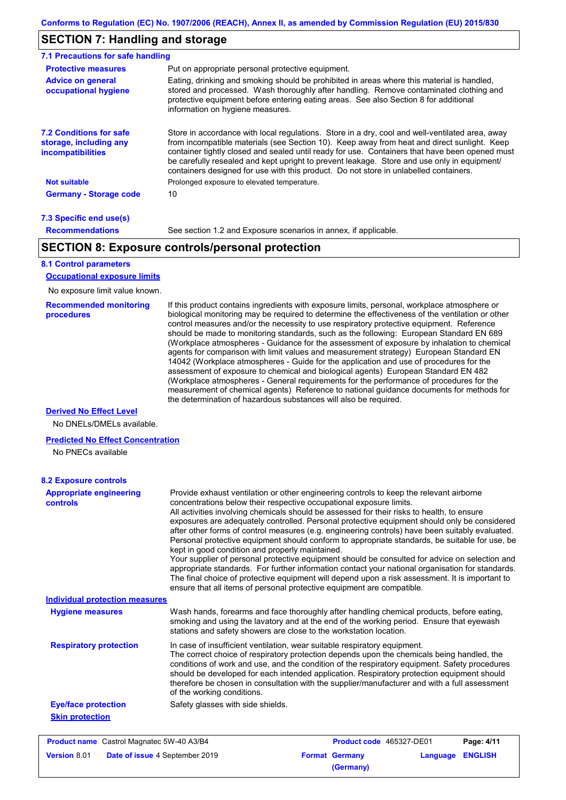### **SECTION 7: Handling and storage**

| <b>Protective measures</b>                                                           | Put on appropriate personal protective equipment.                                                                                                                                                                                                                                                                                                                                                                                                                                        |
|--------------------------------------------------------------------------------------|------------------------------------------------------------------------------------------------------------------------------------------------------------------------------------------------------------------------------------------------------------------------------------------------------------------------------------------------------------------------------------------------------------------------------------------------------------------------------------------|
| <b>Advice on general</b><br>occupational hygiene                                     | Eating, drinking and smoking should be prohibited in areas where this material is handled.<br>stored and processed. Wash thoroughly after handling. Remove contaminated clothing and<br>protective equipment before entering eating areas. See also Section 8 for additional<br>information on hygiene measures.                                                                                                                                                                         |
| <b>7.2 Conditions for safe</b><br>storage, including any<br><i>incompatibilities</i> | Store in accordance with local regulations. Store in a dry, cool and well-ventilated area, away<br>from incompatible materials (see Section 10). Keep away from heat and direct sunlight. Keep<br>container tightly closed and sealed until ready for use. Containers that have been opened must<br>be carefully resealed and kept upright to prevent leakage. Store and use only in equipment/<br>containers designed for use with this product. Do not store in unlabelled containers. |
| <b>Not suitable</b>                                                                  | Prolonged exposure to elevated temperature.                                                                                                                                                                                                                                                                                                                                                                                                                                              |
| <b>Germany - Storage code</b>                                                        | 10                                                                                                                                                                                                                                                                                                                                                                                                                                                                                       |

#### **7.3 Specific end use(s) Recommendations**

See section 1.2 and Exposure scenarios in annex, if applicable.

### **SECTION 8: Exposure controls/personal protection**

### **8.1 Control parameters**

**Occupational exposure limits**

No exposure limit value known.

#### **Recommended monitoring procedures**

If this product contains ingredients with exposure limits, personal, workplace atmosphere or biological monitoring may be required to determine the effectiveness of the ventilation or other control measures and/or the necessity to use respiratory protective equipment. Reference should be made to monitoring standards, such as the following: European Standard EN 689 (Workplace atmospheres - Guidance for the assessment of exposure by inhalation to chemical agents for comparison with limit values and measurement strategy) European Standard EN 14042 (Workplace atmospheres - Guide for the application and use of procedures for the assessment of exposure to chemical and biological agents) European Standard EN 482 (Workplace atmospheres - General requirements for the performance of procedures for the measurement of chemical agents) Reference to national guidance documents for methods for the determination of hazardous substances will also be required.

**(Germany)**

#### **Derived No Effect Level**

No DNELs/DMELs available.

#### **Predicted No Effect Concentration**

No PNECs available

| <b>8.2 Exposure controls</b>                          |                                                                                                                                                                                                                                                                                                                                                                                                                                                                                                                                                                                                                                                                                                                                                                                                                                                                                                                                                                                                         |                          |          |                |
|-------------------------------------------------------|---------------------------------------------------------------------------------------------------------------------------------------------------------------------------------------------------------------------------------------------------------------------------------------------------------------------------------------------------------------------------------------------------------------------------------------------------------------------------------------------------------------------------------------------------------------------------------------------------------------------------------------------------------------------------------------------------------------------------------------------------------------------------------------------------------------------------------------------------------------------------------------------------------------------------------------------------------------------------------------------------------|--------------------------|----------|----------------|
| <b>Appropriate engineering</b><br><b>controls</b>     | Provide exhaust ventilation or other engineering controls to keep the relevant airborne<br>concentrations below their respective occupational exposure limits.<br>All activities involving chemicals should be assessed for their risks to health, to ensure<br>exposures are adequately controlled. Personal protective equipment should only be considered<br>after other forms of control measures (e.g. engineering controls) have been suitably evaluated.<br>Personal protective equipment should conform to appropriate standards, be suitable for use, be<br>kept in good condition and properly maintained.<br>Your supplier of personal protective equipment should be consulted for advice on selection and<br>appropriate standards. For further information contact your national organisation for standards.<br>The final choice of protective equipment will depend upon a risk assessment. It is important to<br>ensure that all items of personal protective equipment are compatible. |                          |          |                |
| <b>Individual protection measures</b>                 |                                                                                                                                                                                                                                                                                                                                                                                                                                                                                                                                                                                                                                                                                                                                                                                                                                                                                                                                                                                                         |                          |          |                |
| <b>Hygiene measures</b>                               | Wash hands, forearms and face thoroughly after handling chemical products, before eating,<br>smoking and using the lavatory and at the end of the working period. Ensure that eyewash<br>stations and safety showers are close to the workstation location.                                                                                                                                                                                                                                                                                                                                                                                                                                                                                                                                                                                                                                                                                                                                             |                          |          |                |
| <b>Respiratory protection</b>                         | In case of insufficient ventilation, wear suitable respiratory equipment.<br>The correct choice of respiratory protection depends upon the chemicals being handled, the<br>conditions of work and use, and the condition of the respiratory equipment. Safety procedures<br>should be developed for each intended application. Respiratory protection equipment should<br>therefore be chosen in consultation with the supplier/manufacturer and with a full assessment<br>of the working conditions.                                                                                                                                                                                                                                                                                                                                                                                                                                                                                                   |                          |          |                |
| <b>Eye/face protection</b>                            | Safety glasses with side shields.                                                                                                                                                                                                                                                                                                                                                                                                                                                                                                                                                                                                                                                                                                                                                                                                                                                                                                                                                                       |                          |          |                |
| <b>Skin protection</b>                                |                                                                                                                                                                                                                                                                                                                                                                                                                                                                                                                                                                                                                                                                                                                                                                                                                                                                                                                                                                                                         |                          |          |                |
| <b>Product name</b> Castrol Magnatec 5W-40 A3/B4      |                                                                                                                                                                                                                                                                                                                                                                                                                                                                                                                                                                                                                                                                                                                                                                                                                                                                                                                                                                                                         | Product code 465327-DE01 |          | Page: 4/11     |
| Date of issue 4 September 2019<br><b>Version 8.01</b> |                                                                                                                                                                                                                                                                                                                                                                                                                                                                                                                                                                                                                                                                                                                                                                                                                                                                                                                                                                                                         | <b>Format Germany</b>    | Language | <b>ENGLISH</b> |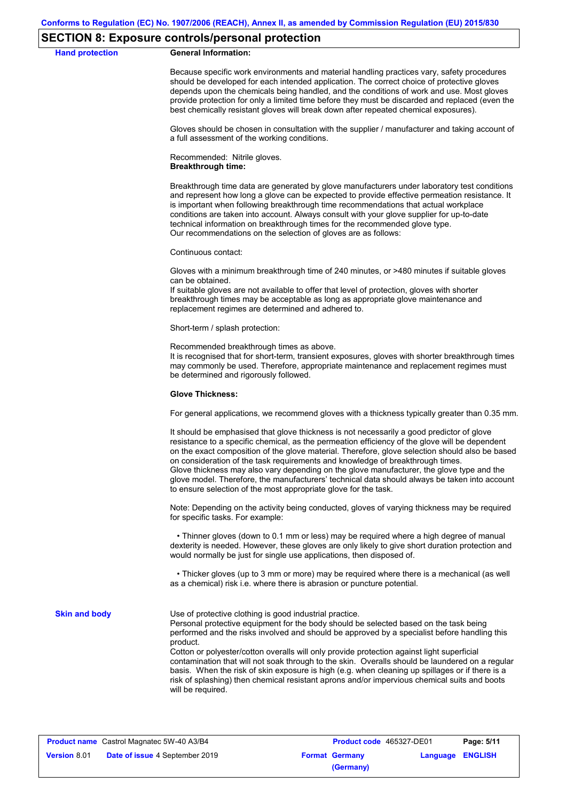### **SECTION 8: Exposure controls/personal protection**

**Hand protection** 

|  | <b>General Information:</b> |
|--|-----------------------------|
|--|-----------------------------|

Because specific work environments and material handling practices vary, safety procedures should be developed for each intended application. The correct choice of protective gloves depends upon the chemicals being handled, and the conditions of work and use. Most gloves provide protection for only a limited time before they must be discarded and replaced (even the best chemically resistant gloves will break down after repeated chemical exposures).

Gloves should be chosen in consultation with the supplier / manufacturer and taking account of a full assessment of the working conditions.

Recommended: Nitrile gloves. **Breakthrough time:**

Breakthrough time data are generated by glove manufacturers under laboratory test conditions and represent how long a glove can be expected to provide effective permeation resistance. It is important when following breakthrough time recommendations that actual workplace conditions are taken into account. Always consult with your glove supplier for up-to-date technical information on breakthrough times for the recommended glove type. Our recommendations on the selection of gloves are as follows:

Continuous contact:

Gloves with a minimum breakthrough time of 240 minutes, or >480 minutes if suitable gloves can be obtained.

If suitable gloves are not available to offer that level of protection, gloves with shorter breakthrough times may be acceptable as long as appropriate glove maintenance and replacement regimes are determined and adhered to.

Short-term / splash protection:

Recommended breakthrough times as above.

It is recognised that for short-term, transient exposures, gloves with shorter breakthrough times may commonly be used. Therefore, appropriate maintenance and replacement regimes must be determined and rigorously followed.

#### **Glove Thickness:**

For general applications, we recommend gloves with a thickness typically greater than 0.35 mm.

It should be emphasised that glove thickness is not necessarily a good predictor of glove resistance to a specific chemical, as the permeation efficiency of the glove will be dependent on the exact composition of the glove material. Therefore, glove selection should also be based on consideration of the task requirements and knowledge of breakthrough times. Glove thickness may also vary depending on the glove manufacturer, the glove type and the glove model. Therefore, the manufacturers' technical data should always be taken into account to ensure selection of the most appropriate glove for the task.

Note: Depending on the activity being conducted, gloves of varying thickness may be required for specific tasks. For example:

 • Thinner gloves (down to 0.1 mm or less) may be required where a high degree of manual dexterity is needed. However, these gloves are only likely to give short duration protection and would normally be just for single use applications, then disposed of.

 • Thicker gloves (up to 3 mm or more) may be required where there is a mechanical (as well as a chemical) risk i.e. where there is abrasion or puncture potential.

**Skin and body**

Use of protective clothing is good industrial practice.

Personal protective equipment for the body should be selected based on the task being performed and the risks involved and should be approved by a specialist before handling this product.

Cotton or polyester/cotton overalls will only provide protection against light superficial contamination that will not soak through to the skin. Overalls should be laundered on a regular basis. When the risk of skin exposure is high (e.g. when cleaning up spillages or if there is a risk of splashing) then chemical resistant aprons and/or impervious chemical suits and boots will be required.

| <b>Product name</b> Castrol Magnatec 5W-40 A3/B4 |                                       | <b>Product code</b> 465327-DE01 |                       | Page: 5/11              |  |
|--------------------------------------------------|---------------------------------------|---------------------------------|-----------------------|-------------------------|--|
| <b>Version 8.01</b>                              | <b>Date of issue 4 September 2019</b> |                                 | <b>Format Germany</b> | <b>Language ENGLISH</b> |  |
|                                                  |                                       |                                 | (Germany)             |                         |  |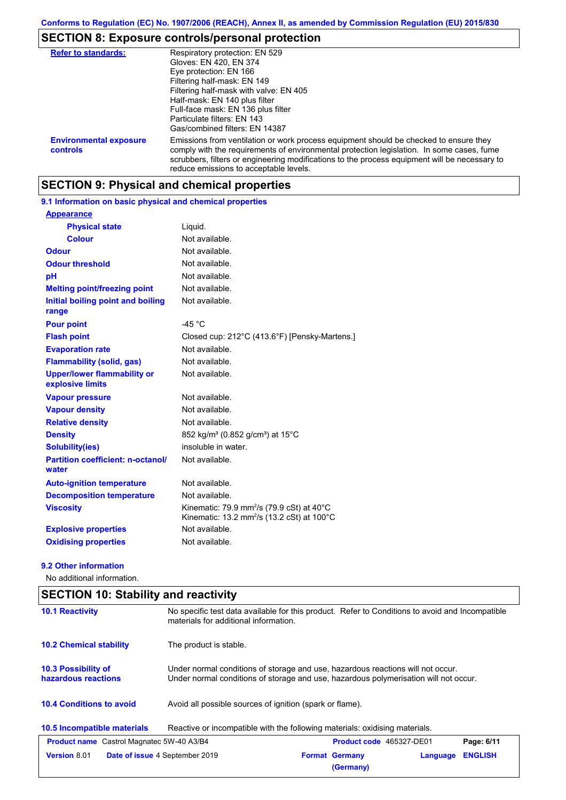# **SECTION 8: Exposure controls/personal protection**

| <b>Refer to standards:</b>                | Respiratory protection: EN 529                                                                                                                                                                                                                                                                                                |
|-------------------------------------------|-------------------------------------------------------------------------------------------------------------------------------------------------------------------------------------------------------------------------------------------------------------------------------------------------------------------------------|
|                                           | Gloves: EN 420, EN 374                                                                                                                                                                                                                                                                                                        |
|                                           | Eye protection: EN 166                                                                                                                                                                                                                                                                                                        |
|                                           | Filtering half-mask: EN 149                                                                                                                                                                                                                                                                                                   |
|                                           | Filtering half-mask with valve: EN 405                                                                                                                                                                                                                                                                                        |
|                                           | Half-mask: EN 140 plus filter                                                                                                                                                                                                                                                                                                 |
|                                           | Full-face mask: EN 136 plus filter                                                                                                                                                                                                                                                                                            |
|                                           | Particulate filters: EN 143                                                                                                                                                                                                                                                                                                   |
|                                           | Gas/combined filters: EN 14387                                                                                                                                                                                                                                                                                                |
| <b>Environmental exposure</b><br>controls | Emissions from ventilation or work process equipment should be checked to ensure they<br>comply with the requirements of environmental protection legislation. In some cases, fume<br>scrubbers, filters or engineering modifications to the process equipment will be necessary to<br>reduce emissions to acceptable levels. |

### **SECTION 9: Physical and chemical properties**

### **9.1 Information on basic physical and chemical properties**

| <b>Appearance</b>                                      |                                                                                                                            |
|--------------------------------------------------------|----------------------------------------------------------------------------------------------------------------------------|
| <b>Physical state</b>                                  | Liquid.                                                                                                                    |
| <b>Colour</b>                                          | Not available.                                                                                                             |
| <b>Odour</b>                                           | Not available.                                                                                                             |
| <b>Odour threshold</b>                                 | Not available.                                                                                                             |
| pH                                                     | Not available.                                                                                                             |
| <b>Melting point/freezing point</b>                    | Not available.                                                                                                             |
| Initial boiling point and boiling<br>range             | Not available.                                                                                                             |
| <b>Pour point</b>                                      | -45 $^{\circ}$ C                                                                                                           |
| <b>Flash point</b>                                     | Closed cup: 212°C (413.6°F) [Pensky-Martens.]                                                                              |
| <b>Evaporation rate</b>                                | Not available.                                                                                                             |
| <b>Flammability (solid, gas)</b>                       | Not available.                                                                                                             |
| <b>Upper/lower flammability or</b><br>explosive limits | Not available.                                                                                                             |
| <b>Vapour pressure</b>                                 | Not available.                                                                                                             |
| <b>Vapour density</b>                                  | Not available.                                                                                                             |
| <b>Relative density</b>                                | Not available.                                                                                                             |
| <b>Density</b>                                         | 852 kg/m <sup>3</sup> (0.852 g/cm <sup>3</sup> ) at 15°C                                                                   |
| <b>Solubility(ies)</b>                                 | insoluble in water.                                                                                                        |
| <b>Partition coefficient: n-octanol/</b><br>water      | Not available.                                                                                                             |
| <b>Auto-ignition temperature</b>                       | Not available.                                                                                                             |
| <b>Decomposition temperature</b>                       | Not available.                                                                                                             |
| <b>Viscosity</b>                                       | Kinematic: 79.9 mm <sup>2</sup> /s (79.9 cSt) at 40 $^{\circ}$ C<br>Kinematic: 13.2 mm <sup>2</sup> /s (13.2 cSt) at 100°C |
| <b>Explosive properties</b>                            | Not available.                                                                                                             |
| <b>Oxidising properties</b>                            | Not available.                                                                                                             |

#### **9.2 Other information**

No additional information.

| No specific test data available for this product. Refer to Conditions to avoid and Incompatible<br><b>10.1 Reactivity</b><br>materials for additional information. |                                                                                                                                                                         |                                    |          |                |
|--------------------------------------------------------------------------------------------------------------------------------------------------------------------|-------------------------------------------------------------------------------------------------------------------------------------------------------------------------|------------------------------------|----------|----------------|
| <b>10.2 Chemical stability</b>                                                                                                                                     | The product is stable.                                                                                                                                                  |                                    |          |                |
| 10.3 Possibility of<br>hazardous reactions                                                                                                                         | Under normal conditions of storage and use, hazardous reactions will not occur.<br>Under normal conditions of storage and use, hazardous polymerisation will not occur. |                                    |          |                |
| <b>10.4 Conditions to avoid</b>                                                                                                                                    | Avoid all possible sources of ignition (spark or flame).                                                                                                                |                                    |          |                |
| 10.5 Incompatible materials                                                                                                                                        | Reactive or incompatible with the following materials: oxidising materials.                                                                                             |                                    |          |                |
| <b>Product name</b> Castrol Magnatec 5W-40 A3/B4                                                                                                                   |                                                                                                                                                                         | <b>Product code</b> 465327-DE01    |          | Page: 6/11     |
| <b>Version 8.01</b>                                                                                                                                                | Date of issue 4 September 2019                                                                                                                                          | <b>Format Germany</b><br>(Germany) | Language | <b>ENGLISH</b> |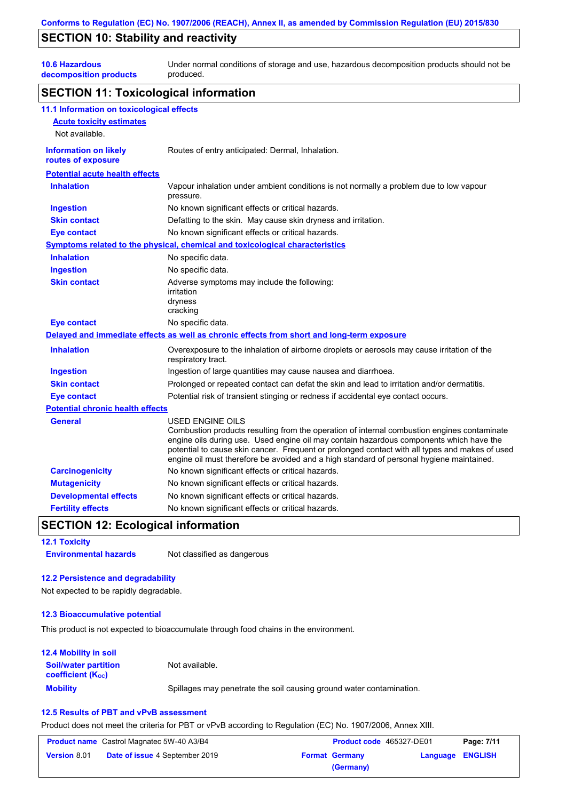### **SECTION 10: Stability and reactivity**

**10.6 Hazardous** 

**decomposition products** Under normal conditions of storage and use, hazardous decomposition products should not be produced.

### **SECTION 11: Toxicological information**

| 11.1 Information on toxicological effects          |                                                                                                                                                                                                                                                                                                                                                                                                                 |
|----------------------------------------------------|-----------------------------------------------------------------------------------------------------------------------------------------------------------------------------------------------------------------------------------------------------------------------------------------------------------------------------------------------------------------------------------------------------------------|
| <b>Acute toxicity estimates</b>                    |                                                                                                                                                                                                                                                                                                                                                                                                                 |
| Not available.                                     |                                                                                                                                                                                                                                                                                                                                                                                                                 |
| <b>Information on likely</b><br>routes of exposure | Routes of entry anticipated: Dermal, Inhalation.                                                                                                                                                                                                                                                                                                                                                                |
| <b>Potential acute health effects</b>              |                                                                                                                                                                                                                                                                                                                                                                                                                 |
| <b>Inhalation</b>                                  | Vapour inhalation under ambient conditions is not normally a problem due to low vapour<br>pressure.                                                                                                                                                                                                                                                                                                             |
| <b>Ingestion</b>                                   | No known significant effects or critical hazards.                                                                                                                                                                                                                                                                                                                                                               |
| <b>Skin contact</b>                                | Defatting to the skin. May cause skin dryness and irritation.                                                                                                                                                                                                                                                                                                                                                   |
| <b>Eye contact</b>                                 | No known significant effects or critical hazards.                                                                                                                                                                                                                                                                                                                                                               |
|                                                    | Symptoms related to the physical, chemical and toxicological characteristics                                                                                                                                                                                                                                                                                                                                    |
| <b>Inhalation</b>                                  | No specific data.                                                                                                                                                                                                                                                                                                                                                                                               |
| <b>Ingestion</b>                                   | No specific data.                                                                                                                                                                                                                                                                                                                                                                                               |
| <b>Skin contact</b>                                | Adverse symptoms may include the following:<br>irritation<br>dryness<br>cracking                                                                                                                                                                                                                                                                                                                                |
| <b>Eye contact</b>                                 | No specific data.                                                                                                                                                                                                                                                                                                                                                                                               |
|                                                    | Delayed and immediate effects as well as chronic effects from short and long-term exposure                                                                                                                                                                                                                                                                                                                      |
| <b>Inhalation</b>                                  | Overexposure to the inhalation of airborne droplets or aerosols may cause irritation of the<br>respiratory tract.                                                                                                                                                                                                                                                                                               |
| <b>Ingestion</b>                                   | Ingestion of large quantities may cause nausea and diarrhoea.                                                                                                                                                                                                                                                                                                                                                   |
| <b>Skin contact</b>                                | Prolonged or repeated contact can defat the skin and lead to irritation and/or dermatitis.                                                                                                                                                                                                                                                                                                                      |
| <b>Eye contact</b>                                 | Potential risk of transient stinging or redness if accidental eye contact occurs.                                                                                                                                                                                                                                                                                                                               |
| <b>Potential chronic health effects</b>            |                                                                                                                                                                                                                                                                                                                                                                                                                 |
| <b>General</b>                                     | <b>USED ENGINE OILS</b><br>Combustion products resulting from the operation of internal combustion engines contaminate<br>engine oils during use. Used engine oil may contain hazardous components which have the<br>potential to cause skin cancer. Frequent or prolonged contact with all types and makes of used<br>engine oil must therefore be avoided and a high standard of personal hygiene maintained. |
| <b>Carcinogenicity</b>                             | No known significant effects or critical hazards.                                                                                                                                                                                                                                                                                                                                                               |
| <b>Mutagenicity</b>                                | No known significant effects or critical hazards.                                                                                                                                                                                                                                                                                                                                                               |
| <b>Developmental effects</b>                       | No known significant effects or critical hazards.                                                                                                                                                                                                                                                                                                                                                               |
| <b>Fertility effects</b>                           | No known significant effects or critical hazards.                                                                                                                                                                                                                                                                                                                                                               |

### **SECTION 12: Ecological information**

**12.1 Toxicity Environmental hazards** Not classified as dangerous

#### **12.2 Persistence and degradability**

Not expected to be rapidly degradable.

#### **12.3 Bioaccumulative potential**

This product is not expected to bioaccumulate through food chains in the environment.

#### **Mobility** Spillages may penetrate the soil causing ground water contamination. **12.4 Mobility in soil Soil/water partition coefficient (KOC)** Not available.

#### **12.5 Results of PBT and vPvB assessment**

Product does not meet the criteria for PBT or vPvB according to Regulation (EC) No. 1907/2006, Annex XIII.

| <b>Product name</b> Castrol Magnatec 5W-40 A3/B4 |                                       | <b>Product code</b> 465327-DE01 |                       | Page: 7/11       |  |
|--------------------------------------------------|---------------------------------------|---------------------------------|-----------------------|------------------|--|
| <b>Version 8.01</b>                              | <b>Date of issue 4 September 2019</b> |                                 | <b>Format Germany</b> | Language ENGLISH |  |
|                                                  |                                       |                                 | (Germany)             |                  |  |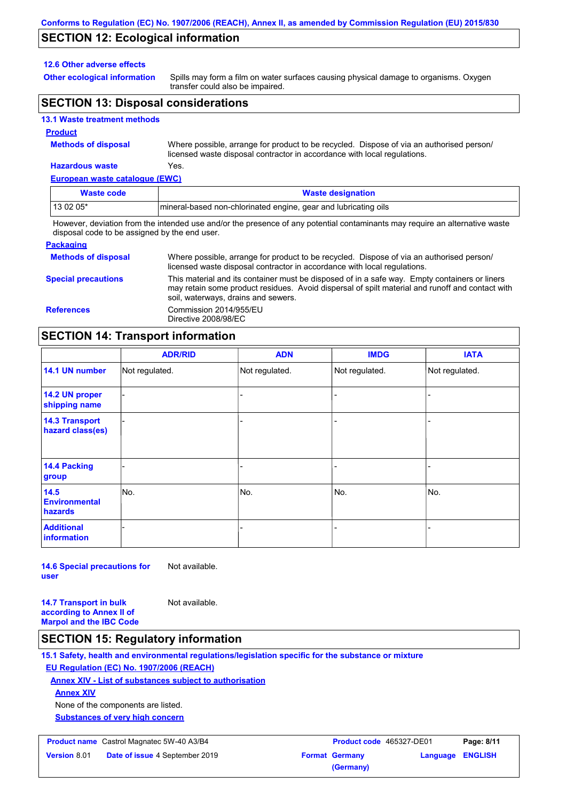### **SECTION 12: Ecological information**

#### **12.6 Other adverse effects**

**Other ecological information**

Spills may form a film on water surfaces causing physical damage to organisms. Oxygen transfer could also be impaired.

### **SECTION 13: Disposal considerations**

#### **13.1 Waste treatment methods**

#### **Product**

**Methods of disposal**

Where possible, arrange for product to be recycled. Dispose of via an authorised person/ licensed waste disposal contractor in accordance with local regulations.

### **Hazardous waste** Yes.

| European waste catalogue (EWC) |                                                                                                                             |
|--------------------------------|-----------------------------------------------------------------------------------------------------------------------------|
| <b>Waste code</b>              | <b>Waste designation</b>                                                                                                    |
| 13 02 05*                      | Imineral-based non-chlorinated engine, gear and lubricating oils                                                            |
|                                | However, deviation from the intended use and/or the presence of any potential contaminants may require an alternative waste |

disposal code to be assigned by the end user.

| <b>Packaging</b>           |                                                                                                                                                                                                                                         |
|----------------------------|-----------------------------------------------------------------------------------------------------------------------------------------------------------------------------------------------------------------------------------------|
| <b>Methods of disposal</b> | Where possible, arrange for product to be recycled. Dispose of via an authorised person/<br>licensed waste disposal contractor in accordance with local regulations.                                                                    |
| <b>Special precautions</b> | This material and its container must be disposed of in a safe way. Empty containers or liners<br>may retain some product residues. Avoid dispersal of spilt material and runoff and contact with<br>soil, waterways, drains and sewers. |
| <b>References</b>          | Commission 2014/955/EU<br>Directive 2008/98/EC                                                                                                                                                                                          |

### **SECTION 14: Transport information**

|                                           | <b>ADR/RID</b> | <b>ADN</b>     | <b>IMDG</b>    | <b>IATA</b>    |  |
|-------------------------------------------|----------------|----------------|----------------|----------------|--|
| 14.1 UN number                            | Not regulated. | Not regulated. | Not regulated. | Not regulated. |  |
| 14.2 UN proper<br>shipping name           |                |                |                |                |  |
| <b>14.3 Transport</b><br>hazard class(es) |                |                | ÷              |                |  |
| 14.4 Packing<br>group                     |                |                |                |                |  |
| 14.5<br><b>Environmental</b><br>hazards   | No.            | No.            | No.            | No.            |  |
| <b>Additional</b><br><b>information</b>   |                |                |                |                |  |

**14.6 Special precautions for user** Not available.

**14.7 Transport in bulk according to Annex II of Marpol and the IBC Code** Not available.

### **SECTION 15: Regulatory information**

**15.1 Safety, health and environmental regulations/legislation specific for the substance or mixture**

### **EU Regulation (EC) No. 1907/2006 (REACH)**

**Annex XIV - List of substances subject to authorisation**

**Annex XIV**

None of the components are listed.

**Substances of very high concern**

#### **Product name** Castrol Magnatec 5W-40 A3/B4 **Product code** 465327-DE01 **Page: 8/11**

| <b>Version 8.01</b> | <b>Date of issue 4 September 2019</b> | <b>Format Germany</b> |
|---------------------|---------------------------------------|-----------------------|
|                     |                                       | (Germany)             |

**Data 2 September 2019 12 September 2019 12 September 2019 12 September 2019 12 September 2019 12 September 2019 12 September 2019 12 September 2019 12 September 2019 12 September 2019 12 September 2019 12 September 2019 1**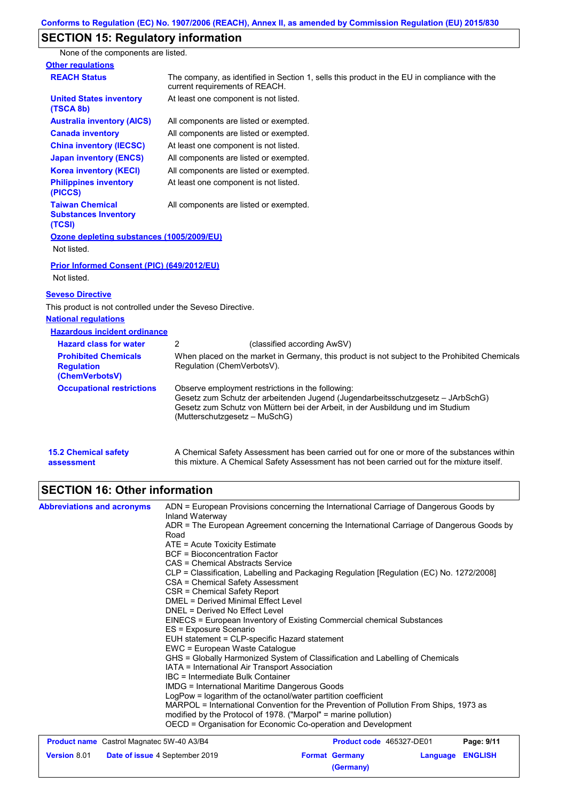# **SECTION 15: Regulatory information**

None of the components are listed.

| <b>Other regulations</b>                                           |                                                                                                                                                                                                                                                         |
|--------------------------------------------------------------------|---------------------------------------------------------------------------------------------------------------------------------------------------------------------------------------------------------------------------------------------------------|
| <b>REACH Status</b>                                                | The company, as identified in Section 1, sells this product in the EU in compliance with the<br>current requirements of REACH.                                                                                                                          |
| <b>United States inventory</b><br>(TSCA 8b)                        | At least one component is not listed.                                                                                                                                                                                                                   |
| <b>Australia inventory (AICS)</b>                                  | All components are listed or exempted.                                                                                                                                                                                                                  |
| <b>Canada inventory</b>                                            | All components are listed or exempted.                                                                                                                                                                                                                  |
| <b>China inventory (IECSC)</b>                                     | At least one component is not listed.                                                                                                                                                                                                                   |
| <b>Japan inventory (ENCS)</b>                                      | All components are listed or exempted.                                                                                                                                                                                                                  |
| <b>Korea inventory (KECI)</b>                                      | All components are listed or exempted.                                                                                                                                                                                                                  |
| <b>Philippines inventory</b><br>(PICCS)                            | At least one component is not listed.                                                                                                                                                                                                                   |
| <b>Taiwan Chemical</b><br><b>Substances Inventory</b><br>(TCSI)    | All components are listed or exempted.                                                                                                                                                                                                                  |
| Ozone depleting substances (1005/2009/EU)                          |                                                                                                                                                                                                                                                         |
| Not listed.                                                        |                                                                                                                                                                                                                                                         |
| Prior Informed Consent (PIC) (649/2012/EU)<br>Not listed.          |                                                                                                                                                                                                                                                         |
| <b>Seveso Directive</b>                                            |                                                                                                                                                                                                                                                         |
| This product is not controlled under the Seveso Directive.         |                                                                                                                                                                                                                                                         |
| <b>National regulations</b>                                        |                                                                                                                                                                                                                                                         |
| <b>Hazardous incident ordinance</b>                                |                                                                                                                                                                                                                                                         |
| <b>Hazard class for water</b>                                      | 2<br>(classified according AwSV)                                                                                                                                                                                                                        |
| <b>Prohibited Chemicals</b><br><b>Regulation</b><br>(ChemVerbotsV) | When placed on the market in Germany, this product is not subject to the Prohibited Chemicals<br>Regulation (ChemVerbotsV).                                                                                                                             |
| <b>Occupational restrictions</b>                                   | Observe employment restrictions in the following:<br>Gesetz zum Schutz der arbeitenden Jugend (Jugendarbeitsschutzgesetz - JArbSchG)<br>Gesetz zum Schutz von Müttern bei der Arbeit, in der Ausbildung und im Studium<br>(Mutterschutzgesetz - MuSchG) |
| <b>15.2 Chemical safety</b><br>assessment                          | A Chemical Safety Assessment has been carried out for one or more of the substances within<br>this mixture. A Chemical Safety Assessment has not been carried out for the mixture itself.                                                               |
|                                                                    |                                                                                                                                                                                                                                                         |

# **SECTION 16: Other information**

| <b>Abbreviations and acronyms</b>                | ADN = European Provisions concerning the International Carriage of Dangerous Goods by<br>Inland Waterway                        |                                 |            |
|--------------------------------------------------|---------------------------------------------------------------------------------------------------------------------------------|---------------------------------|------------|
|                                                  | ADR = The European Agreement concerning the International Carriage of Dangerous Goods by<br>Road                                |                                 |            |
|                                                  | $ATE = Acute Toxicity Estimate$                                                                                                 |                                 |            |
|                                                  | <b>BCF</b> = Bioconcentration Factor                                                                                            |                                 |            |
|                                                  | CAS = Chemical Abstracts Service                                                                                                |                                 |            |
|                                                  | CLP = Classification, Labelling and Packaging Regulation [Regulation (EC) No. 1272/2008]                                        |                                 |            |
|                                                  | CSA = Chemical Safety Assessment                                                                                                |                                 |            |
|                                                  | CSR = Chemical Safety Report                                                                                                    |                                 |            |
|                                                  | DMEL = Derived Minimal Effect Level                                                                                             |                                 |            |
|                                                  | DNEL = Derived No Effect Level                                                                                                  |                                 |            |
|                                                  | EINECS = European Inventory of Existing Commercial chemical Substances                                                          |                                 |            |
|                                                  | ES = Exposure Scenario                                                                                                          |                                 |            |
|                                                  | EUH statement = CLP-specific Hazard statement                                                                                   |                                 |            |
|                                                  | EWC = European Waste Catalogue                                                                                                  |                                 |            |
|                                                  | GHS = Globally Harmonized System of Classification and Labelling of Chemicals<br>IATA = International Air Transport Association |                                 |            |
|                                                  | IBC = Intermediate Bulk Container                                                                                               |                                 |            |
|                                                  | <b>IMDG = International Maritime Dangerous Goods</b>                                                                            |                                 |            |
|                                                  | LogPow = logarithm of the octanol/water partition coefficient                                                                   |                                 |            |
|                                                  | MARPOL = International Convention for the Prevention of Pollution From Ships, 1973 as                                           |                                 |            |
|                                                  | modified by the Protocol of 1978. ("Marpol" = marine pollution)                                                                 |                                 |            |
|                                                  | OECD = Organisation for Economic Co-operation and Development                                                                   |                                 |            |
| <b>Product name</b> Castrol Magnatec 5W-40 A3/B4 |                                                                                                                                 | <b>Product code</b> 465327-DE01 | Page: 9/11 |

| <b>Product name</b> Castrol Magnatec 5W-40 A3/B4 |                                       | <b>Product code</b> 465327-DE01 |                       | Page: 9/11       |  |
|--------------------------------------------------|---------------------------------------|---------------------------------|-----------------------|------------------|--|
| <b>Version 8.01</b>                              | <b>Date of issue 4 September 2019</b> |                                 | <b>Format Germany</b> | Language ENGLISH |  |
|                                                  |                                       |                                 | (Germany)             |                  |  |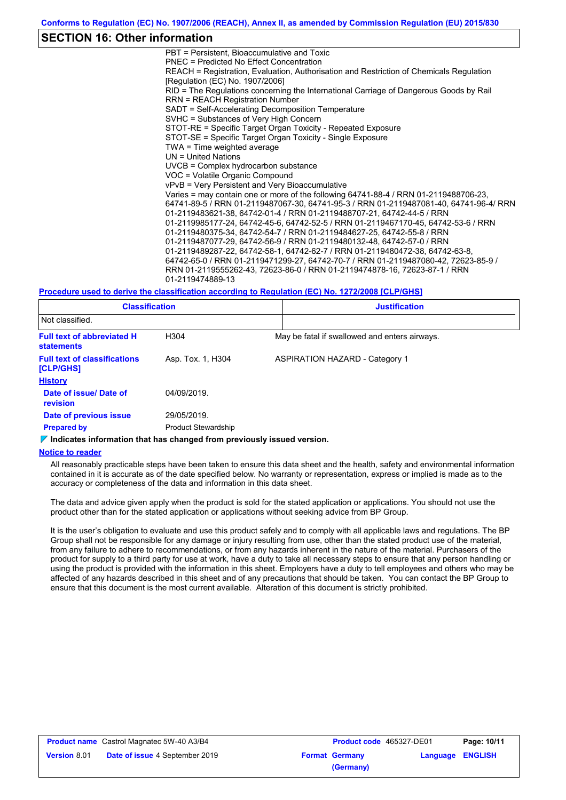### **SECTION 16: Other information**

PBT = Persistent, Bioaccumulative and Toxic PNEC = Predicted No Effect Concentration REACH = Registration, Evaluation, Authorisation and Restriction of Chemicals Regulation [Regulation (EC) No. 1907/2006] RID = The Regulations concerning the International Carriage of Dangerous Goods by Rail RRN = REACH Registration Number SADT = Self-Accelerating Decomposition Temperature SVHC = Substances of Very High Concern STOT-RE = Specific Target Organ Toxicity - Repeated Exposure STOT-SE = Specific Target Organ Toxicity - Single Exposure TWA = Time weighted average UN = United Nations UVCB = Complex hydrocarbon substance VOC = Volatile Organic Compound vPvB = Very Persistent and Very Bioaccumulative Varies = may contain one or more of the following 64741-88-4 / RRN 01-2119488706-23, 64741-89-5 / RRN 01-2119487067-30, 64741-95-3 / RRN 01-2119487081-40, 64741-96-4/ RRN 01-2119483621-38, 64742-01-4 / RRN 01-2119488707-21, 64742-44-5 / RRN 01-2119985177-24, 64742-45-6, 64742-52-5 / RRN 01-2119467170-45, 64742-53-6 / RRN 01-2119480375-34, 64742-54-7 / RRN 01-2119484627-25, 64742-55-8 / RRN 01-2119487077-29, 64742-56-9 / RRN 01-2119480132-48, 64742-57-0 / RRN 01-2119489287-22, 64742-58-1, 64742-62-7 / RRN 01-2119480472-38, 64742-63-8, 64742-65-0 / RRN 01-2119471299-27, 64742-70-7 / RRN 01-2119487080-42, 72623-85-9 / RRN 01-2119555262-43, 72623-86-0 / RRN 01-2119474878-16, 72623-87-1 / RRN 01-2119474889-13

#### **Procedure used to derive the classification according to Regulation (EC) No. 1272/2008 [CLP/GHS]**

| <b>Classification</b>                                  |                            |  | <b>Justification</b>                          |  |  |  |
|--------------------------------------------------------|----------------------------|--|-----------------------------------------------|--|--|--|
| Not classified.                                        |                            |  |                                               |  |  |  |
| <b>Full text of abbreviated H</b><br><b>statements</b> | H304                       |  | May be fatal if swallowed and enters airways. |  |  |  |
| <b>Full text of classifications</b><br>[CLP/GHS]       | Asp. Tox. 1, H304          |  | <b>ASPIRATION HAZARD - Category 1</b>         |  |  |  |
| <b>History</b>                                         |                            |  |                                               |  |  |  |
| Date of issue/ Date of<br><b>revision</b>              | 04/09/2019.                |  |                                               |  |  |  |
| Date of previous issue                                 | 29/05/2019.                |  |                                               |  |  |  |
| <b>Prepared by</b>                                     | <b>Product Stewardship</b> |  |                                               |  |  |  |

#### *I* Indicates information that has changed from previously issued version.

#### **Notice to reader**

All reasonably practicable steps have been taken to ensure this data sheet and the health, safety and environmental information contained in it is accurate as of the date specified below. No warranty or representation, express or implied is made as to the accuracy or completeness of the data and information in this data sheet.

The data and advice given apply when the product is sold for the stated application or applications. You should not use the product other than for the stated application or applications without seeking advice from BP Group.

It is the user's obligation to evaluate and use this product safely and to comply with all applicable laws and regulations. The BP Group shall not be responsible for any damage or injury resulting from use, other than the stated product use of the material, from any failure to adhere to recommendations, or from any hazards inherent in the nature of the material. Purchasers of the product for supply to a third party for use at work, have a duty to take all necessary steps to ensure that any person handling or using the product is provided with the information in this sheet. Employers have a duty to tell employees and others who may be affected of any hazards described in this sheet and of any precautions that should be taken. You can contact the BP Group to ensure that this document is the most current available. Alteration of this document is strictly prohibited.

| <b>Product name</b> Castrol Magnatec 5W-40 A3/B4 |                                       | <b>Product code</b> 465327-DE01 |                       | Page: 10/11             |  |
|--------------------------------------------------|---------------------------------------|---------------------------------|-----------------------|-------------------------|--|
| <b>Version 8.01</b>                              | <b>Date of issue 4 September 2019</b> |                                 | <b>Format Germany</b> | <b>Language ENGLISH</b> |  |
|                                                  |                                       |                                 | (Germany)             |                         |  |